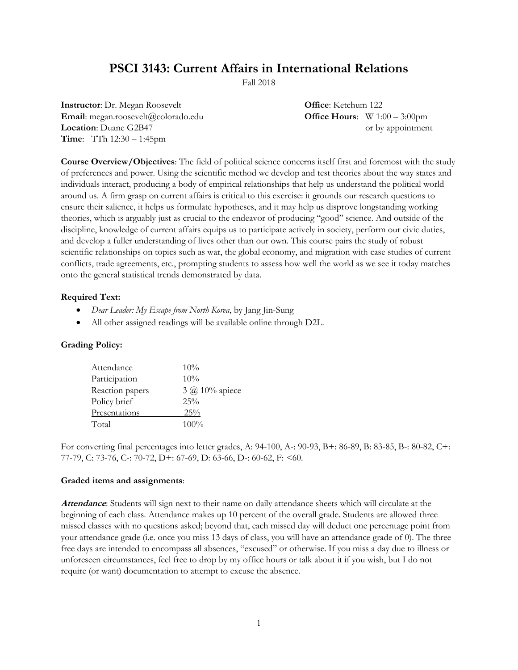# **PSCI 3143: Current Affairs in International Relations**

Fall 2018

**Instructor**: Dr. Megan Roosevelt **Office**: Ketchum 122 **Email**: megan.roosevelt@colorado.edu **Office Hours**: W 1:00 – 3:00pm **Location**: Duane G2B47 or by appointment **Time**: TTh 12:30 – 1:45pm

**Course Overview/Objectives**: The field of political science concerns itself first and foremost with the study of preferences and power. Using the scientific method we develop and test theories about the way states and individuals interact, producing a body of empirical relationships that help us understand the political world around us. A firm grasp on current affairs is critical to this exercise: it grounds our research questions to ensure their salience, it helps us formulate hypotheses, and it may help us disprove longstanding working theories, which is arguably just as crucial to the endeavor of producing "good" science. And outside of the discipline, knowledge of current affairs equips us to participate actively in society, perform our civic duties, and develop a fuller understanding of lives other than our own. This course pairs the study of robust scientific relationships on topics such as war, the global economy, and migration with case studies of current conflicts, trade agreements, etc., prompting students to assess how well the world as we see it today matches onto the general statistical trends demonstrated by data.

#### **Required Text:**

- *Dear Leader: My Escape from North Korea*, by Jang Jin-Sung
- All other assigned readings will be available online through D2L.

### **Grading Policy:**

| Attendance      | 10%                   |
|-----------------|-----------------------|
| Participation   | $10\%$                |
| Reaction papers | $3 \omega$ 10% apiece |
| Policy brief    | $25\%$                |
| Presentations   | 25%                   |
| Total           | $100\%$               |

For converting final percentages into letter grades, A: 94-100, A-: 90-93, B+: 86-89, B: 83-85, B-: 80-82, C+: 77-79, C: 73-76, C-: 70-72, D+: 67-69, D: 63-66, D-: 60-62, F: <60.

#### **Graded items and assignments**:

**Attendance**: Students will sign next to their name on daily attendance sheets which will circulate at the beginning of each class. Attendance makes up 10 percent of the overall grade. Students are allowed three missed classes with no questions asked; beyond that, each missed day will deduct one percentage point from your attendance grade (i.e. once you miss 13 days of class, you will have an attendance grade of 0). The three free days are intended to encompass all absences, "excused" or otherwise. If you miss a day due to illness or unforeseen circumstances, feel free to drop by my office hours or talk about it if you wish, but I do not require (or want) documentation to attempt to excuse the absence.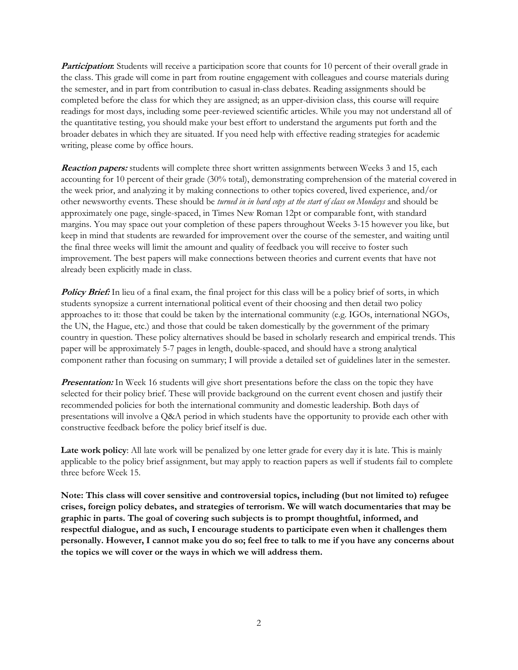**Participation:** Students will receive a participation score that counts for 10 percent of their overall grade in the class. This grade will come in part from routine engagement with colleagues and course materials during the semester, and in part from contribution to casual in-class debates. Reading assignments should be completed before the class for which they are assigned; as an upper-division class, this course will require readings for most days, including some peer-reviewed scientific articles. While you may not understand all of the quantitative testing, you should make your best effort to understand the arguments put forth and the broader debates in which they are situated. If you need help with effective reading strategies for academic writing, please come by office hours.

**Reaction papers:** students will complete three short written assignments between Weeks 3 and 15, each accounting for 10 percent of their grade (30% total), demonstrating comprehension of the material covered in the week prior, and analyzing it by making connections to other topics covered, lived experience, and/or other newsworthy events. These should be *turned in in hard copy at the start of class on Mondays* and should be approximately one page, single-spaced, in Times New Roman 12pt or comparable font, with standard margins. You may space out your completion of these papers throughout Weeks 3-15 however you like, but keep in mind that students are rewarded for improvement over the course of the semester, and waiting until the final three weeks will limit the amount and quality of feedback you will receive to foster such improvement. The best papers will make connections between theories and current events that have not already been explicitly made in class.

**Policy Brief:** In lieu of a final exam, the final project for this class will be a policy brief of sorts, in which students synopsize a current international political event of their choosing and then detail two policy approaches to it: those that could be taken by the international community (e.g. IGOs, international NGOs, the UN, the Hague, etc.) and those that could be taken domestically by the government of the primary country in question. These policy alternatives should be based in scholarly research and empirical trends. This paper will be approximately 5-7 pages in length, double-spaced, and should have a strong analytical component rather than focusing on summary; I will provide a detailed set of guidelines later in the semester.

**Presentation:** In Week 16 students will give short presentations before the class on the topic they have selected for their policy brief. These will provide background on the current event chosen and justify their recommended policies for both the international community and domestic leadership. Both days of presentations will involve a Q&A period in which students have the opportunity to provide each other with constructive feedback before the policy brief itself is due.

Late work policy: All late work will be penalized by one letter grade for every day it is late. This is mainly applicable to the policy brief assignment, but may apply to reaction papers as well if students fail to complete three before Week 15.

**Note: This class will cover sensitive and controversial topics, including (but not limited to) refugee crises, foreign policy debates, and strategies of terrorism. We will watch documentaries that may be graphic in parts. The goal of covering such subjects is to prompt thoughtful, informed, and respectful dialogue, and as such, I encourage students to participate even when it challenges them personally. However, I cannot make you do so; feel free to talk to me if you have any concerns about the topics we will cover or the ways in which we will address them.**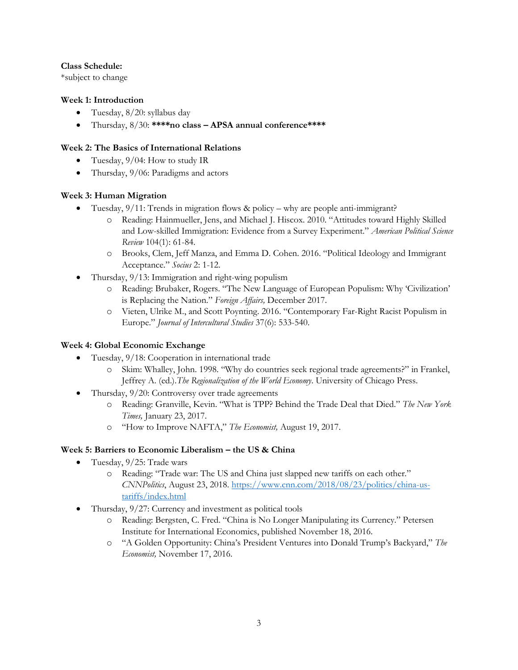## **Class Schedule:**

\*subject to change

# **Week 1: Introduction**

- Tuesday, 8/20: syllabus day
- Thursday, 8/30: **\*\*\*\*no class – APSA annual conference\*\*\*\***

# **Week 2: The Basics of International Relations**

- Tuesday,  $9/04$ : How to study IR
- Thursday, 9/06: Paradigms and actors

# **Week 3: Human Migration**

- Tuesday, 9/11: Trends in migration flows & policy why are people anti-immigrant?
	- o Reading: Hainmueller, Jens, and Michael J. Hiscox. 2010. "Attitudes toward Highly Skilled and Low-skilled Immigration: Evidence from a Survey Experiment." *American Political Science Review* 104(1): 61-84.
	- o Brooks, Clem, Jeff Manza, and Emma D. Cohen. 2016. "Political Ideology and Immigrant Acceptance." *Socius* 2: 1-12.
- Thursday, 9/13: Immigration and right-wing populism
	- o Reading: Brubaker, Rogers. "The New Language of European Populism: Why 'Civilization' is Replacing the Nation." *Foreign Affairs,* December 2017.
	- o Vieten, Ulrike M., and Scott Poynting. 2016. "Contemporary Far-Right Racist Populism in Europe." *Journal of Intercultural Studies* 37(6): 533-540.

# **Week 4: Global Economic Exchange**

- Tuesday, 9/18: Cooperation in international trade
	- o Skim: Whalley, John. 1998. "Why do countries seek regional trade agreements?" in Frankel, Jeffrey A. (ed.).*The Regionalization of the World Economy*. University of Chicago Press.
- Thursday, 9/20: Controversy over trade agreements
	- o Reading: Granville, Kevin. "What is TPP? Behind the Trade Deal that Died." *The New York Times,* January 23, 2017.
	- o "How to Improve NAFTA," *The Economist,* August 19, 2017.

# **Week 5: Barriers to Economic Liberalism – the US & China**

- Tuesday, 9/25: Trade wars
	- o Reading: "Trade war: The US and China just slapped new tariffs on each other." *CNNPolitics*, August 23, 2018[. https://www.cnn.com/2018/08/23/politics/china-us](https://www.cnn.com/2018/08/23/politics/china-us-tariffs/index.html)[tariffs/index.html](https://www.cnn.com/2018/08/23/politics/china-us-tariffs/index.html)
- Thursday, 9/27: Currency and investment as political tools
	- o Reading: Bergsten, C. Fred. "China is No Longer Manipulating its Currency." Petersen Institute for International Economics, published November 18, 2016.
	- o "A Golden Opportunity: China's President Ventures into Donald Trump's Backyard," *The Economist,* November 17, 2016.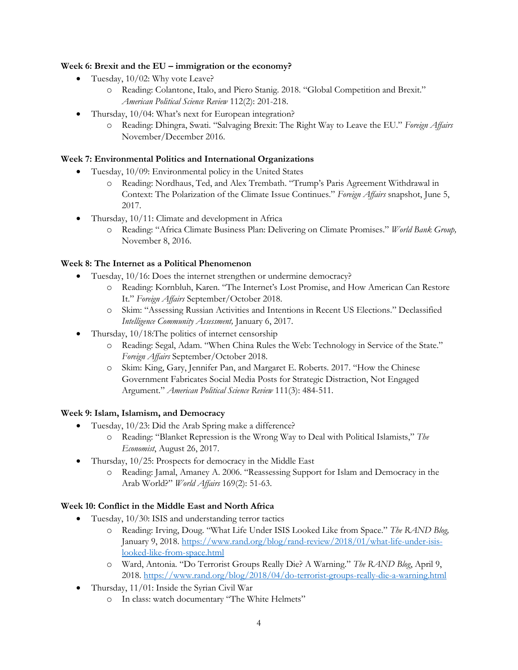## **Week 6: Brexit and the EU – immigration or the economy?**

- Tuesday, 10/02: Why vote Leave?
	- o Reading: Colantone, Italo, and Piero Stanig. 2018. "Global Competition and Brexit." *American Political Science Review* 112(2): 201-218.
- Thursday, 10/04: What's next for European integration?
	- o Reading: Dhingra, Swati. "Salvaging Brexit: The Right Way to Leave the EU." *Foreign Affairs* November/December 2016.

# **Week 7: Environmental Politics and International Organizations**

- Tuesday, 10/09: Environmental policy in the United States
	- o Reading: Nordhaus, Ted, and Alex Trembath. "Trump's Paris Agreement Withdrawal in Context: The Polarization of the Climate Issue Continues." *Foreign Affairs* snapshot, June 5, 2017.
- Thursday, 10/11: Climate and development in Africa
	- o Reading: "Africa Climate Business Plan: Delivering on Climate Promises." *World Bank Group,*  November 8, 2016.

# **Week 8: The Internet as a Political Phenomenon**

- Tuesday, 10/16: Does the internet strengthen or undermine democracy?
	- o Reading: Kornbluh, Karen. "The Internet's Lost Promise, and How American Can Restore It." *Foreign Affairs* September/October 2018.
	- o Skim: "Assessing Russian Activities and Intentions in Recent US Elections." Declassified *Intelligence Community Assessment,* January 6, 2017.
- Thursday, 10/18:The politics of internet censorship
	- o Reading: Segal, Adam. "When China Rules the Web: Technology in Service of the State." *Foreign Affairs* September/October 2018.
	- o Skim: King, Gary, Jennifer Pan, and Margaret E. Roberts. 2017. "How the Chinese Government Fabricates Social Media Posts for Strategic Distraction, Not Engaged Argument." *American Political Science Review* 111(3): 484-511.

### **Week 9: Islam, Islamism, and Democracy**

- Tuesday, 10/23: Did the Arab Spring make a difference?
	- o Reading: "Blanket Repression is the Wrong Way to Deal with Political Islamists," *The Economist*, August 26, 2017.
- Thursday, 10/25: Prospects for democracy in the Middle East
	- o Reading: Jamal, Amaney A. 2006. "Reassessing Support for Islam and Democracy in the Arab World?" *World Affairs* 169(2): 51-63.

# **Week 10: Conflict in the Middle East and North Africa**

- Tuesday, 10/30: ISIS and understanding terror tactics
	- o Reading: Irving, Doug. "What Life Under ISIS Looked Like from Space." *The RAND Blog,*  January 9, 2018[. https://www.rand.org/blog/rand-review/2018/01/what-life-under-isis](https://www.rand.org/blog/rand-review/2018/01/what-life-under-isis-looked-like-from-space.html)[looked-like-from-space.html](https://www.rand.org/blog/rand-review/2018/01/what-life-under-isis-looked-like-from-space.html)
	- o Ward, Antonia. "Do Terrorist Groups Really Die? A Warning." *The RAND Blog*, April 9, 2018.<https://www.rand.org/blog/2018/04/do-terrorist-groups-really-die-a-warning.html>
- Thursday, 11/01: Inside the Syrian Civil War
	- o In class: watch documentary "The White Helmets"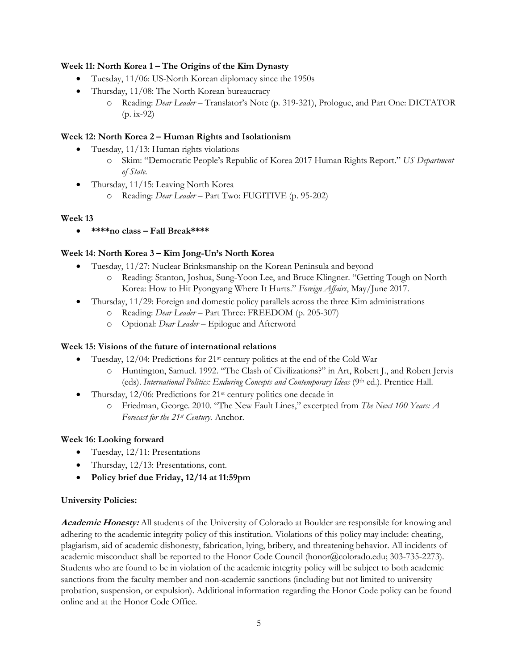## **Week 11: North Korea 1 – The Origins of the Kim Dynasty**

- Tuesday, 11/06: US-North Korean diplomacy since the 1950s
- Thursday, 11/08: The North Korean bureaucracy
	- o Reading: *Dear Leader*  Translator's Note (p. 319-321), Prologue, and Part One: DICTATOR  $(p. ix-92)$

## **Week 12: North Korea 2 – Human Rights and Isolationism**

- Tuesday, 11/13: Human rights violations
	- o Skim: "Democratic People's Republic of Korea 2017 Human Rights Report." *US Department of State.*
- Thursday, 11/15: Leaving North Korea
	- o Reading: *Dear Leader* Part Two: FUGITIVE (p. 95-202)

# **Week 13**

**\*\*\*\*no class – Fall Break\*\*\*\***

# **Week 14: North Korea 3 – Kim Jong-Un's North Korea**

- Tuesday, 11/27: Nuclear Brinksmanship on the Korean Peninsula and beyond
	- o Reading: Stanton, Joshua, Sung-Yoon Lee, and Bruce Klingner. "Getting Tough on North Korea: How to Hit Pyongyang Where It Hurts." *Foreign Affairs*, May/June 2017.
- Thursday, 11/29: Foreign and domestic policy parallels across the three Kim administrations
	- o Reading: *Dear Leader* Part Three: FREEDOM (p. 205-307)
	- o Optional: *Dear Leader* Epilogue and Afterword

### **Week 15: Visions of the future of international relations**

- Tuesday, 12/04: Predictions for 21st century politics at the end of the Cold War
	- o Huntington, Samuel. 1992. "The Clash of Civilizations?" in Art, Robert J., and Robert Jervis (eds). *International Politics: Enduring Concepts and Contemporary Ideas* (9th ed.). Prentice Hall.
- Thursday, 12/06: Predictions for 21st century politics one decade in
	- o Friedman, George. 2010. "The New Fault Lines," excerpted from *The Next 100 Years: A Forecast for the 21st Century.* Anchor.

### **Week 16: Looking forward**

- Tuesday, 12/11: Presentations
- Thursday, 12/13: Presentations, cont.
- **Policy brief due Friday, 12/14 at 11:59pm**

### **University Policies:**

**Academic Honesty:** All students of the University of Colorado at Boulder are responsible for knowing and adhering to the academic integrity policy of this institution. Violations of this policy may include: cheating, plagiarism, aid of academic dishonesty, fabrication, lying, bribery, and threatening behavior. All incidents of academic misconduct shall be reported to the Honor Code Council (honor@colorado.edu; 303-735-2273). Students who are found to be in violation of the academic integrity policy will be subject to both academic sanctions from the faculty member and non-academic sanctions (including but not limited to university probation, suspension, or expulsion). Additional information regarding the Honor Code policy can be found online and at the Honor Code Office.